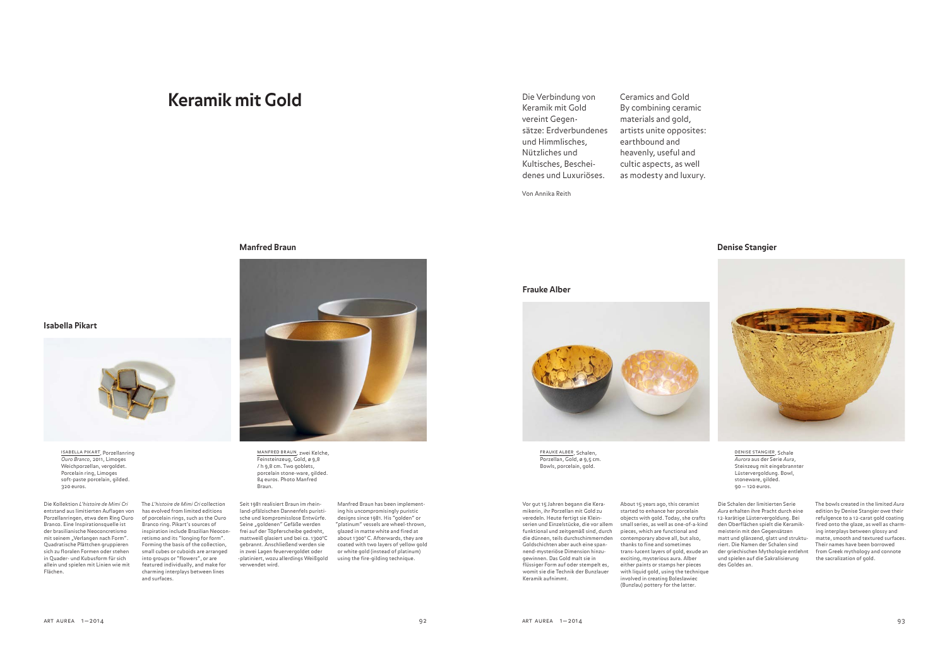# **Keramik mit Gold**

Die Verbindung von Keramik mit Gold vereint Gegensätze: Erdverbundenes und Himmlisches, Nützliches und Kultisches, Bescheidenes und Luxuriöses. Ceramics and Gold By combining ceramic materials and gold, artists unite opposites: earthbound and heavenly, useful and

Von Annika Reith

**Frauke Alber**

cultic aspects, as well as modesty and luxury.

### **Manfred Braun**



ISABELLA PIKART, Porzellanring<br>*Ouro Branco,* 2011, Limoges Weichporzellan, vergoldet. Porcelain ring, Limoges soft-paste porcelain, gilded. 320 euros.

**Isabella Pikart**

Die Kollektion L'histoire de Mimi Cri entstand aus limitierten Auflagen von Porzellanringen, etwa dem Ring Ouro Branco. Eine Inspirationsquelle ist der brasilianische Neoconcretismo mit seinem "Verlangen nach Form". Quadratische Plättchen gruppieren sich zu floralen Formen oder stehen in Quader- und Kubusform für sich allein und spielen mit Linien wie mit Flächen.

The L'histoire de Mimi Cri collection has evolved from limited editions of porcelain rings, such as the Ouro Branco ring. Pikart's sources of inspiration include Brazilian Neoconretismo and its "longing for form". Forming the basis of the collection, small cubes or cuboids are arranged into groups or "flowers", or are featured individually, and make for charming interplays between lines and surfaces.

manfred braun, zwei Kelche, Feinsteinzeug, Gold, ø 9,8 / h 9,8 cm. Two goblets, porcelain stone-ware, gilded. 84 euros. Photo Manfred Braun.

Seit 1981 realisiert Braun im rheinland-pfälzischen Dannenfels puristische und kompromisslose Entwürfe. Seine "goldenen" Gefäße werden frei auf der Töpferscheibe gedreht, mattweiß glasiert und bei ca. 1300°C gebrannt. Anschließend werden sie in zwei Lagen feuervergoldet oder -platiniert, wozu allerdings Weißgold verwendet wird.

Manfred Braun has been implementing his uncompromisingly puristic designs since 1981. His "golden" or "platinum" vessels are wheel-thrown, glazed in matte white and fired at about 1300° C. Afterwards, they are coated with two layers of yellow gold or white gold (instead of platinum) using the fire-gilding technique.

### **Denise Stangier**



frauke alber, Schalen, Porzellan, Gold, ø 9,5 cm. Bowls, porcelain, gold.

Vor gut 15 Jahren begann die Keramikerin, ihr Porzellan mit Gold zu veredeln. Heute fertigt sie Kleinserien und Einzelstücke, die vor allem funktional und zeitgemäß sind, durch die dünnen, teils durchschimmernden Goldschichten aber auch eine spannend-mysteriöse Dimension hinzugewinnen. Das Gold malt sie in flüssiger Form auf oder stempelt es, womit sie die Technik der Bunzlauer Keramik aufnimmt.

About 15 years ago, this ceramist started to enhance her porcelain objects with gold. Today, she crafts small series, as well as one-of-a-kind pieces, which are functional and contemporary above all, but also, thanks to fine and sometimes trans-lucent layers of gold, exude an exciting, mysterious aura. Alber either paints or stamps her pieces with liquid gold, using the technique involved in creating Boleslawiec (Bunzlau) pottery for the latter.

Die Schalen der limitierten Serie Aurora aus der Serie Aura, Steinzeug mit eingebrannter Lüstervergoldung. Bowl, stoneware, gilded. 90 — 120 euros.

Aura erhalten ihre Pracht durch eine 12-karätige Lüstervergoldung. Bei den Oberflächen spielt die Keramikmeisterin mit den Gegensätzen matt und glänzend, glatt und strukturiert. Die Namen der Schalen sind der griechischen Mythologie entlehnt und spielen auf die Sakralisierung des Goldes an.

The bowls created in the limited Aura edition by Denise Stangier owe their refulgence to a 12-carat gold coating fired onto the glaze, as well as charming interplays between glossy and matte, smooth and textured surfaces. Their names have been borrowed from Greek mythology and connote the sacralization of gold.

art aurea 1—2014 92 art aurea 1—2014 93